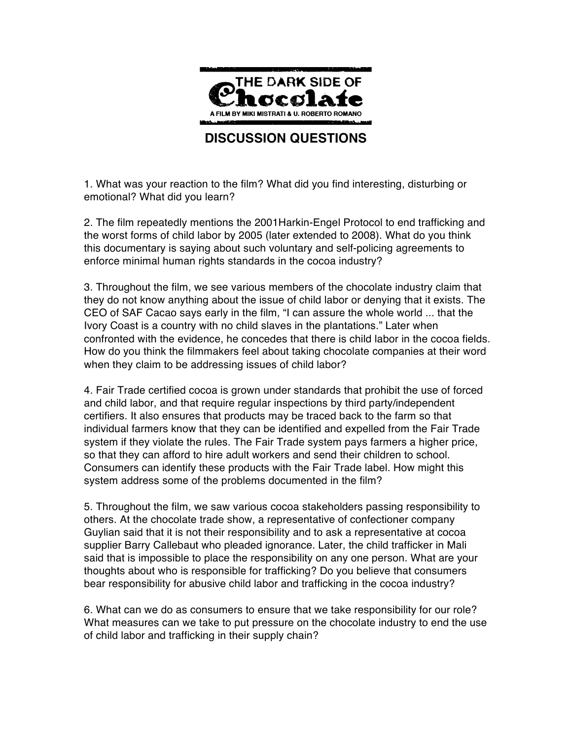

# **DISCUSSION QUESTIONS**

1. What was your reaction to the film? What did you find interesting, disturbing or emotional? What did you learn?

2. The film repeatedly mentions the 2001Harkin-Engel Protocol to end trafficking and the worst forms of child labor by 2005 (later extended to 2008). What do you think this documentary is saying about such voluntary and self-policing agreements to enforce minimal human rights standards in the cocoa industry?

3. Throughout the film, we see various members of the chocolate industry claim that they do not know anything about the issue of child labor or denying that it exists. The CEO of SAF Cacao says early in the film, "I can assure the whole world ... that the Ivory Coast is a country with no child slaves in the plantations." Later when confronted with the evidence, he concedes that there is child labor in the cocoa fields. How do you think the filmmakers feel about taking chocolate companies at their word when they claim to be addressing issues of child labor?

4. Fair Trade certified cocoa is grown under standards that prohibit the use of forced and child labor, and that require regular inspections by third party/independent certifiers. It also ensures that products may be traced back to the farm so that individual farmers know that they can be identified and expelled from the Fair Trade system if they violate the rules. The Fair Trade system pays farmers a higher price, so that they can afford to hire adult workers and send their children to school. Consumers can identify these products with the Fair Trade label. How might this system address some of the problems documented in the film?

5. Throughout the film, we saw various cocoa stakeholders passing responsibility to others. At the chocolate trade show, a representative of confectioner company Guylian said that it is not their responsibility and to ask a representative at cocoa supplier Barry Callebaut who pleaded ignorance. Later, the child trafficker in Mali said that is impossible to place the responsibility on any one person. What are your thoughts about who is responsible for trafficking? Do you believe that consumers bear responsibility for abusive child labor and trafficking in the cocoa industry?

6. What can we do as consumers to ensure that we take responsibility for our role? What measures can we take to put pressure on the chocolate industry to end the use of child labor and trafficking in their supply chain?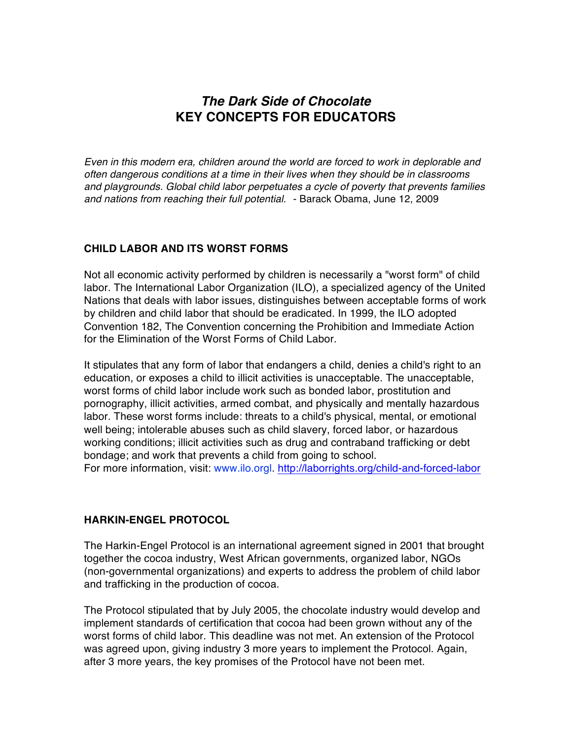# *The Dark Side of Chocolate* **KEY CONCEPTS FOR EDUCATORS**

*Even in this modern era, children around the world are forced to work in deplorable and often dangerous conditions at a time in their lives when they should be in classrooms and playgrounds. Global child labor perpetuates a cycle of poverty that prevents families and nations from reaching their full potential.* - Barack Obama, June 12, 2009

## **CHILD LABOR AND ITS WORST FORMS**

Not all economic activity performed by children is necessarily a "worst form" of child labor. The International Labor Organization (ILO), a specialized agency of the United Nations that deals with labor issues, distinguishes between acceptable forms of work by children and child labor that should be eradicated. In 1999, the ILO adopted Convention 182, The Convention concerning the Prohibition and Immediate Action for the Elimination of the Worst Forms of Child Labor.

It stipulates that any form of labor that endangers a child, denies a child's right to an education, or exposes a child to illicit activities is unacceptable. The unacceptable, worst forms of child labor include work such as bonded labor, prostitution and pornography, illicit activities, armed combat, and physically and mentally hazardous labor. These worst forms include: threats to a child's physical, mental, or emotional well being; intolerable abuses such as child slavery, forced labor, or hazardous working conditions; illicit activities such as drug and contraband trafficking or debt bondage; and work that prevents a child from going to school.

For more information, visit: www.ilo.orgl. http://laborrights.org/child-and-forced-labor

#### **HARKIN-ENGEL PROTOCOL**

The Harkin-Engel Protocol is an international agreement signed in 2001 that brought together the cocoa industry, West African governments, organized labor, NGOs (non-governmental organizations) and experts to address the problem of child labor and trafficking in the production of cocoa.

The Protocol stipulated that by July 2005, the chocolate industry would develop and implement standards of certification that cocoa had been grown without any of the worst forms of child labor. This deadline was not met. An extension of the Protocol was agreed upon, giving industry 3 more years to implement the Protocol. Again, after 3 more years, the key promises of the Protocol have not been met.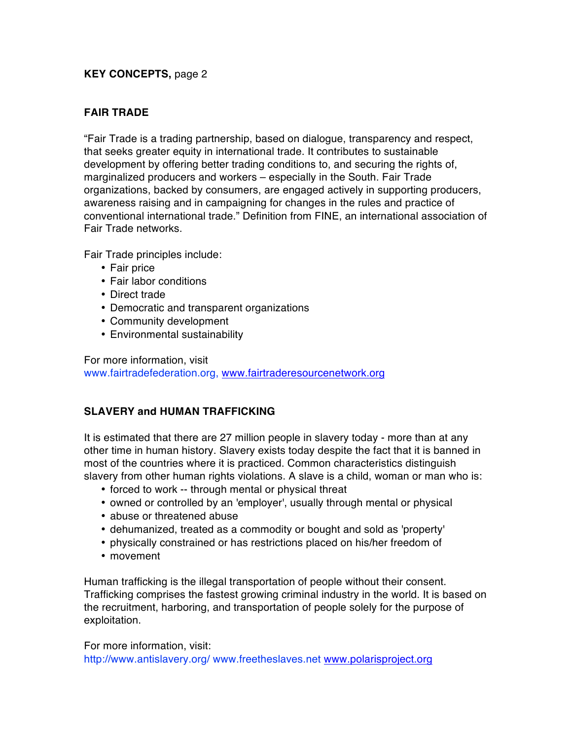## **KEY CONCEPTS,** page 2

# **FAIR TRADE**

"Fair Trade is a trading partnership, based on dialogue, transparency and respect, that seeks greater equity in international trade. It contributes to sustainable development by offering better trading conditions to, and securing the rights of, marginalized producers and workers – especially in the South. Fair Trade organizations, backed by consumers, are engaged actively in supporting producers, awareness raising and in campaigning for changes in the rules and practice of conventional international trade." Definition from FINE, an international association of Fair Trade networks.

Fair Trade principles include:

- Fair price
- Fair labor conditions
- Direct trade
- Democratic and transparent organizations
- Community development
- Environmental sustainability

For more information, visit www.fairtradefederation.org, www.fairtraderesourcenetwork.org

# **SLAVERY and HUMAN TRAFFICKING**

It is estimated that there are 27 million people in slavery today - more than at any other time in human history. Slavery exists today despite the fact that it is banned in most of the countries where it is practiced. Common characteristics distinguish slavery from other human rights violations. A slave is a child, woman or man who is:

- forced to work -- through mental or physical threat
- owned or controlled by an 'employer', usually through mental or physical
- abuse or threatened abuse
- dehumanized, treated as a commodity or bought and sold as 'property'
- physically constrained or has restrictions placed on his/her freedom of • movement
- 

Human trafficking is the illegal transportation of people without their consent. Trafficking comprises the fastest growing criminal industry in the world. It is based on the recruitment, harboring, and transportation of people solely for the purpose of exploitation.

For more information, visit:

http://www.antislavery.org/ www.freetheslaves.net www.polarisproject.org